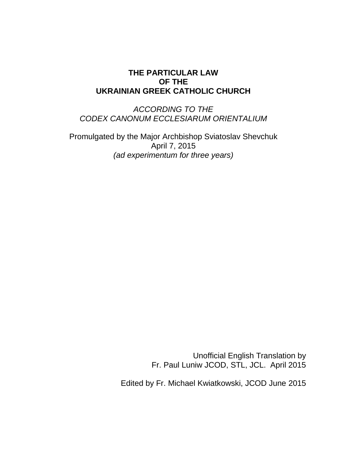## **THE PARTICULAR LAW OF THE UKRAINIAN GREEK CATHOLIC CHURCH**

*ACCORDING TO THE CODEX CANONUM ECCLESIARUM ORIENTALIUM*

Promulgated by the Major Archbishop Sviatoslav Shevchuk April 7, 2015 *(ad experimentum for three years)*

> Unofficial English Translation by Fr. Paul Luniw JCOD, STL, JCL. April 2015

Edited by Fr. Michael Kwiatkowski, JCOD June 2015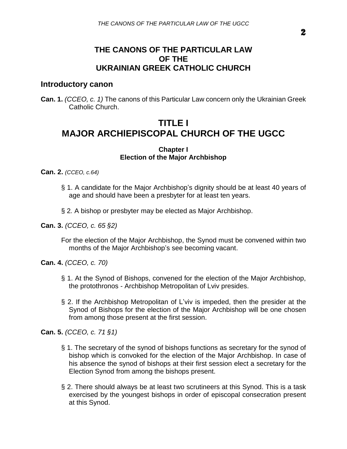2

## **THE CANONS OF THE PARTICULAR LAW OF THE UKRAINIAN GREEK CATHOLIC CHURCH**

## **Introductory canon**

**Can. 1.** *(CCEO, c. 1)* The canons of this Particular Law concern only the Ukrainian Greek Catholic Church.

# **TITLE I MAJOR ARCHlEPISCOPAL CHURCH OF THE UGCC**

### **Chapter I Election of the Major Archbishop**

**Can. 2.** *(CCEO, c.64)*

- § 1. A candidate for the Major Archbishop's dignity should be at least 40 years of age and should have been a presbyter for at least ten years.
- § 2*.* A bishop or presbyter may be elected as Major Archbishop.
- **Can. 3.** *(CCEO, c. 65 §2)*

For the election of the Major Archbishop, the Synod must be convened within two months of the Major Archbishop's see becoming vacant.

- **Can. 4.** *(CCEO, c. 70)*
	- § 1. At the Synod of Bishops, convened for the election of the Major Archbishop, the protothronos - Archbishop Metropolitan of Lviv presides.
	- § 2. If the Archbishop Metropolitan of L'viv is impeded, then the presider at the Synod of Bishops for the election of the Major Archbishop will be one chosen from among those present at the first session.

**Can. 5.** *(CCEO, c. 71 §1)*

- § 1. The secretary of the synod of bishops functions as secretary for the synod of bishop which is convoked for the election of the Major Archbishop. In case of his absence the synod of bishops at their first session elect a secretary for the Election Synod from among the bishops present.
- § 2. There should always be at least two scrutineers at this Synod. This is a task exercised by the youngest bishops in order of episcopal consecration present at this Synod.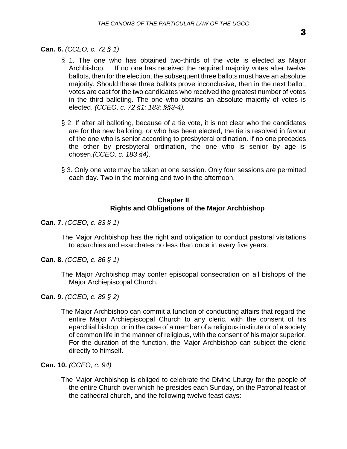### **Can. 6.** *(CCEO, c. 72 § 1)*

- § 1. The one who has obtained two-thirds of the vote is elected as Major Archbishop. If no one has received the required majority votes after twelve ballots, then for the election, the subsequent three ballots must have an absolute majority. Should these three ballots prove inconclusive, then in the next ballot, votes are cast for the two candidates who received the greatest number of votes in the third balloting. The one who obtains an absolute majority of votes is elected. *(CCEO, c. 72 §1; 183: §§3-4).*
- § 2. If after all balloting, because of a tie vote, it is not clear who the candidates are for the new balloting, or who has been elected, the tie is resolved in favour of the one who is senior according to presbyteral ordination. If no one precedes the other by presbyteral ordination, the one who is senior by age is chosen.*(CCEO, c. 183 §4).*
- § 3. Only one vote may be taken at one session. Only four sessions are permitted each day. Two in the morning and two in the afternoon.

### **Chapter II Rights and Obligations of the Major Archbishop**

**Can. 7.** *(CCEO, c. 83 § 1)*

The Major Archbishop has the right and obligation to conduct pastoral visitations to eparchies and exarchates no less than once in every five years.

**Can. 8.** *(CCEO, c. 86 § 1)*

The Major Archbishop may confer episcopal consecration on all bishops of the Major Archiepiscopal Church.

**Can. 9.** *(CCEO, c. 89 § 2)*

The Major Archbishop can commit a function of conducting affairs that regard the entire Major Archiepiscopal Church to any cleric, with the consent of his eparchial bishop, or in the case of a member of a religious institute or of a society of common life in the manner of religious, with the consent of his major superior. For the duration of the function, the Major Archbishop can subject the cleric directly to himself.

**Can. 10.** *(CCEO, c. 94)*

The Major Archbishop is obliged to celebrate the Divine Liturgy for the people of the entire Church over which he presides each Sunday, on the Patronal feast of the cathedral church, and the following twelve feast days: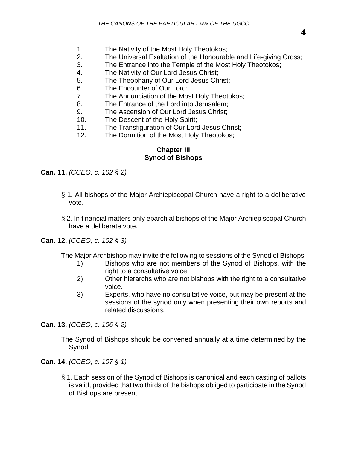- 1. The Nativity of the Most Holy Theotokos;
- 2. The Universal Exaltation of the Honourable and Life-giving Cross;
- 3. The Entrance into the Temple of the Most Holy Theotokos;
- 4. The Nativity of Our Lord Jesus Christ;
- 5. The Theophany of Our Lord Jesus Christ;
- 6. The Encounter of Our Lord;
- 7. The Annunciation of the Most Holy Theotokos;
- 8. The Entrance of the Lord into Jerusalem;
- 9. The Ascension of Our Lord Jesus Christ;
- 10. The Descent of the Holy Spirit;
- 11. The Transfiguration of Our Lord Jesus Christ;
- 12. The Dormition of the Most Holy Theotokos;

### **Chapter III Synod of Bishops**

**Can. 11.** *(CCEO, c. 102 § 2)*

- § 1. All bishops of the Major Archiepiscopal Church have a right to a deliberative vote.
- § 2. In financial matters only eparchial bishops of the Major Archiepiscopal Church have a deliberate vote.

**Can. 12.** *(CCEO, c. 102 § 3)*

The Major Archbishop may invite the following to sessions of the Synod of Bishops:

- 1) Bishops who are not members of the Synod of Bishops, with the right to a consultative voice.
- 2) Other hierarchs who are not bishops with the right to a consultative voice.
- 3) Experts, who have no consultative voice, but may be present at the sessions of the synod only when presenting their own reports and related discussions.

**Can. 13.** *(CCEO, c. 106 § 2)*

The Synod of Bishops should be convened annually at a time determined by the Synod.

**Can. 14.** *(CCEO, c. 107 § 1)*

§ 1. Each session of the Synod of Bishops is canonical and each casting of ballots is valid, provided that two thirds of the bishops obliged to participate in the Synod of Bishops are present.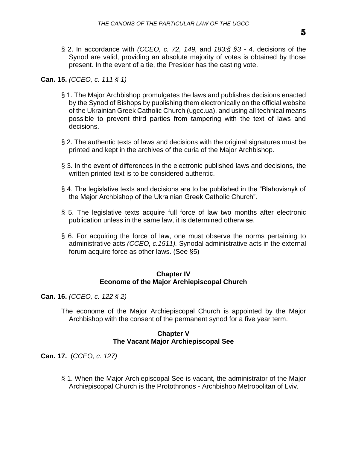§ 2. In accordance with *(CCEO, c. 72, 149,* and *183:§ §3 - 4,* decisions of the Synod are valid, providing an absolute majority of votes is obtained by those present. In the event of a tie, the Presider has the casting vote.

### **Can. 15.** *(CCEO, c. 111 § 1)*

- § 1. The Major Archbishop promulgates the laws and publishes decisions enacted by the Synod of Bishops by publishing them electronically on the official website of the Ukrainian Greek Catholic Church (ugcc.ua), and using all technical means possible to prevent third parties from tampering with the text of laws and decisions.
- § 2. The authentic texts of laws and decisions with the original signatures must be printed and kept in the archives of the curia of the Major Archbishop.
- § 3. In the event of differences in the electronic published laws and decisions, the written printed text is to be considered authentic.
- § 4. The legislative texts and decisions are to be published in the "Blahovisnyk of the Major Archbishop of the Ukrainian Greek Catholic Church".
- § 5. The legislative texts acquire full force of law two months after electronic publication unless in the same law, it is determined otherwise.
- § 6. For acquiring the force of law, one must observe the norms pertaining to administrative acts *(CCEO, c.1511).* Synodal administrative acts in the external forum acquire force as other laws. (See §5)

### **Chapter IV Econome of the Major Archiepiscopal Church**

**Can. 16.** *(CCEO, c. 122 § 2)*

The econome of the Major Archiepiscopal Church is appointed by the Major Archbishop with the consent of the permanent synod for a five year term.

### **Chapter V The Vacant Major Archiepiscopal See**

**Can. 17.** (*CCEO, c. 127)*

§ 1. When the Major Archiepiscopal See is vacant, the administrator of the Major Archiepiscopal Church is the Protothronos - Archbishop Metropolitan of Lviv.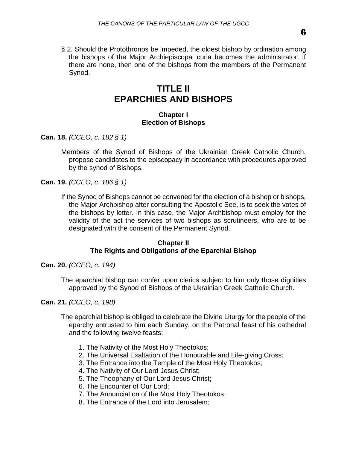§ 2. Should the Protothronos be impeded, the oldest bishop by ordination among the bishops of the Major Archiepiscopal curia becomes the administrator. If there are none, then one of the bishops from the members of the Permanent Synod.

## **TITLE II EPARCHIES AND BISHOPS**

### **Chapter I Election of Bishops**

**Can. 18.** *(CCEO, c. 182 § 1)*

Members of the Synod of Bishops of the Ukrainian Greek Catholic Church, propose candidates to the episcopacy in accordance with procedures approved by the synod of Bishops.

**Can. 19.** *(CCEO, c. 186 § 1)*

If the Synod of Bishops cannot be convened for the election of a bishop or bishops, the Major Archbishop after consulting the Apostolic See, is to seek the votes of the bishops by letter. In this case, the Major Archbishop must employ for the validity of the act the services of two bishops as scrutineers, who are to be designated with the consent of the Permanent Synod.

### **Chapter II The Rights and Obligations of the Eparchial Bishop**

**Can. 20.** *(CCEO, c. 194)*

The eparchial bishop can confer upon clerics subject to him only those dignities approved by the Synod of Bishops of the Ukrainian Greek Catholic Church.

**Can. 21.** *(CCEO, c. 198)*

The eparchial bishop is obliged to celebrate the Divine Liturgy for the people of the eparchy entrusted to him each Sunday, on the Patronal feast of his cathedral and the following twelve feasts:

- 1. The Nativity of the Most Holy Theotokos;
- 2. The Universal Exaltation of the Honourable and Life-giving Cross;
- 3. The Entrance into the Temple of the Most Holy Theotokos;
- 4. The Nativity of Our Lord Jesus Christ;
- 5. The Theophany of Our Lord Jesus Christ;
- 6. The Encounter of Our Lord;
- 7. The Annunciation of the Most Holy Theotokos;
- 8. The Entrance of the Lord into Jerusalem;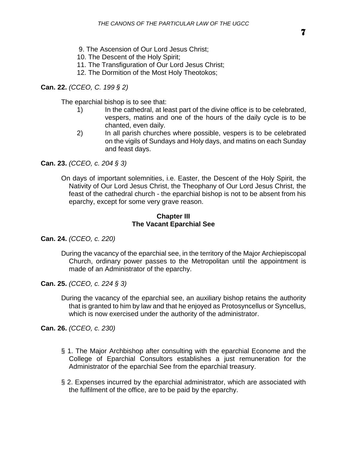- 9. The Ascension of Our Lord Jesus Christ;
- 10. The Descent of the Holy Spirit;
- 11. The Transfiguration of Our Lord Jesus Christ;
- 12. The Dormition of the Most Holy Theotokos;

**Can. 22.** *(CCEO, C. 199 § 2)*

The eparchial bishop is to see that:

- 1) In the cathedral, at least part of the divine office is to be celebrated, vespers, matins and one of the hours of the daily cycle is to be chanted, even daily.
- 2) In all parish churches where possible, vespers is to be celebrated on the vigils of Sundays and Holy days, and matins on each Sunday and feast days.

**Can. 23.** *(CCEO, c. 204 § 3)*

On days of important solemnities, i.e. Easter, the Descent of the Holy Spirit, the Nativity of Our Lord Jesus Christ, the Theophany of Our Lord Jesus Christ, the feast of the cathedral church - the eparchial bishop is not to be absent from his eparchy, except for some very grave reason.

### **Chapter III The Vacant Eparchial See**

- **Can. 24.** *(CCEO, c. 220)*
	- During the vacancy of the eparchial see, in the territory of the Major Archiepiscopal Church, ordinary power passes to the Metropolitan until the appointment is made of an Administrator of the eparchy.
- **Can. 25.** *(CCEO, c. 224 § 3)*
	- During the vacancy of the eparchial see, an auxiliary bishop retains the authority that is granted to him by law and that he enjoyed as Protosyncellus or Syncellus, which is now exercised under the authority of the administrator.

**Can. 26.** *(CCEO, c. 230)*

- § 1. The Major Archbishop after consulting with the eparchial Econome and the College of Eparchial Consultors establishes a just remuneration for the Administrator of the eparchial See from the eparchial treasury.
- § 2. Expenses incurred by the eparchial administrator, which are associated with the fulfilment of the office, are to be paid by the eparchy.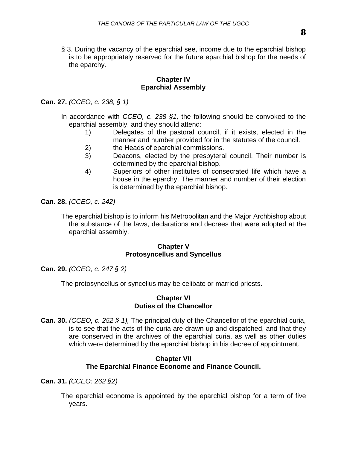§ 3. During the vacancy of the eparchial see, income due to the eparchial bishop is to be appropriately reserved for the future eparchial bishop for the needs of the eparchy.

### **Chapter IV Eparchial Assembly**

**Can. 27.** *(CCEO, c. 238, § 1)*

- In accordance with *CCEO, c. 238 §1,* the following should be convoked to the eparchial assembly, and they should attend:
	- 1) Delegates of the pastoral council, if it exists, elected in the manner and number provided for in the statutes of the council.
	- 2) the Heads of eparchial commissions.
	- 3) Deacons, elected by the presbyteral council. Their number is determined by the eparchial bishop.
	- 4) Superiors of other institutes of consecrated life which have a house in the eparchy. The manner and number of their election is determined by the eparchial bishop.

**Can. 28.** *(CCEO, c. 242)*

The eparchial bishop is to inform his Metropolitan and the Major Archbishop about the substance of the laws, declarations and decrees that were adopted at the eparchial assembly.

### **Chapter V Protosyncellus and Syncellus**

**Can. 29.** *(CCEO, c. 247 § 2)*

The protosyncellus or syncellus may be celibate or married priests.

### **Chapter VI Duties of the Chancellor**

**Can. 30.** *(CCEO, c. 252 § 1),* The principal duty of the Chancellor of the eparchial curia, is to see that the acts of the curia are drawn up and dispatched, and that they are conserved in the archives of the eparchial curia, as well as other duties which were determined by the eparchial bishop in his decree of appointment.

### **Chapter VII The Eparchial Finance Econome and Finance Council.**

**Can. 31.** *(CCEO: 262 §2)*

The eparchial econome is appointed by the eparchial bishop for a term of five years.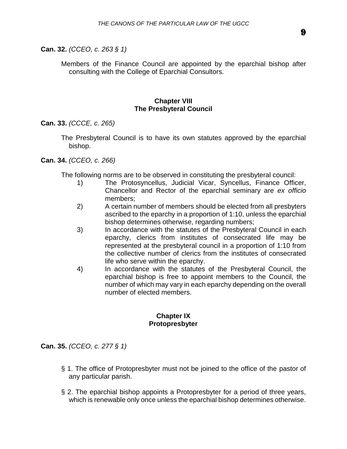**Can. 32.** *(CCEO, c. 263 § 1)*

Members of the Finance Council are appointed by the eparchial bishop after consulting with the College of Eparchial Consultors.

#### **Chapter VIII The Presbyteral Council**

**Can. 33.** *(CCCE, c. 265)*

The Presbyteral Council is to have its own statutes approved by the eparchial bishop.

### **Can. 34.** *(CCEO, c. 266)*

The following norms are to be observed in constituting the presbyteral council:

- 1) The Protosyncellus, Judicial Vicar, Syncellus, Finance Officer, Chancellor and Rector of the eparchial seminary are *ex officio*  members;
- 2) A certain number of members should be elected from all presbyters ascribed to the eparchy in a proportion of 1:10, unless the eparchial bishop determines otherwise, regarding numbers;
- 3) In accordance with the statutes of the Presbyteral Council in each eparchy, clerics from institutes of consecrated life may be represented at the presbyteral council in a proportion of 1:10 from the collective number of clerics from the institutes of consecrated life who serve within the eparchy.
- 4) In accordance with the statutes of the Presbyteral Council, the eparchial bishop is free to appoint members to the Council, the number of which may vary in each eparchy depending on the overall number of elected members.

### **Chapter IX Protopresbyter**

**Can. 35.** *(CCEO, c. 277 § 1)*

- § 1. The office of Protopresbyter must not be joined to the office of the pastor of any particular parish.
- § 2. The eparchial bishop appoints a Protopresbyter for a period of three years, which is renewable only once unless the eparchial bishop determines otherwise.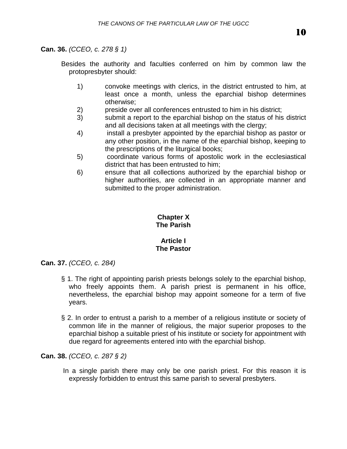### **Can. 36.** *(CCEO, c. 278 § 1)*

Besides the authority and faculties conferred on him by common law the protopresbyter should:

- 1) convoke meetings with clerics, in the district entrusted to him, at least once a month, unless the eparchial bishop determines otherwise;
- 2) preside over all conferences entrusted to him in his district;
- 3) submit a report to the eparchial bishop on the status of his district and all decisions taken at all meetings with the clergy;
- 4) install a presbyter appointed by the eparchial bishop as pastor or any other position, in the name of the eparchial bishop, keeping to the prescriptions of the liturgical books;
- 5) coordinate various forms of apostolic work in the ecclesiastical district that has been entrusted to him;
- 6) ensure that all collections authorized by the eparchial bishop or higher authorities, are collected in an appropriate manner and submitted to the proper administration.

#### **Chapter X The Parish**

### **Article I The Pastor**

### **Can. 37.** *(CCEO, c. 284)*

- § 1. The right of appointing parish priests belongs solely to the eparchial bishop, who freely appoints them. A parish priest is permanent in his office, nevertheless, the eparchial bishop may appoint someone for a term of five years.
- § 2. In order to entrust a parish to a member of a religious institute or society of common life in the manner of religious, the major superior proposes to the eparchial bishop a suitable priest of his institute or society for appointment with due regard for agreements entered into with the eparchial bishop.

**Can. 38.** *(CCEO, c. 287 § 2)*

In a single parish there may only be one parish priest. For this reason it is expressly forbidden to entrust this same parish to several presbyters.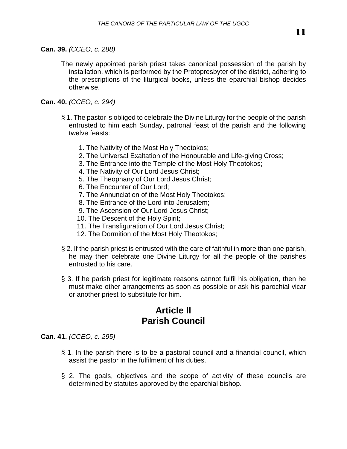The newly appointed parish priest takes canonical possession of the parish by installation, which is performed by the Protopresbyter of the district, adhering to the prescriptions of the liturgical books, unless the eparchial bishop decides otherwise.

### **Can. 40.** *(CCEO, c. 294)*

- § 1. The pastor is obliged to celebrate the Divine Liturgy for the people of the parish entrusted to him each Sunday, patronal feast of the parish and the following twelve feasts:
	- 1. The Nativity of the Most Holy Theotokos;
	- 2. The Universal Exaltation of the Honourable and Life-giving Cross;
	- 3. The Entrance into the Temple of the Most Holy Theotokos;
	- 4. The Nativity of Our Lord Jesus Christ;
	- 5. The Theophany of Our Lord Jesus Christ;
	- 6. The Encounter of Our Lord;
	- 7. The Annunciation of the Most Holy Theotokos;
	- 8. The Entrance of the Lord into Jerusalem;
	- 9. The Ascension of Our Lord Jesus Christ;
	- 10. The Descent of the Holy Spirit;
	- 11. The Transfiguration of Our Lord Jesus Christ;
	- 12. The Dormition of the Most Holy Theotokos;
- § 2. If the parish priest is entrusted with the care of faithful in more than one parish, he may then celebrate one Divine Liturgy for all the people of the parishes entrusted to his care.
- § 3. If he parish priest for legitimate reasons cannot fulfil his obligation, then he must make other arrangements as soon as possible or ask his parochial vicar or another priest to substitute for him.

# **Article II Parish Council**

**Can. 41.** *(CCEO, c. 295)*

- § 1. In the parish there is to be a pastoral council and a financial council, which assist the pastor in the fulfilment of his duties.
- § 2. The goals, objectives and the scope of activity of these councils are determined by statutes approved by the eparchial bishop.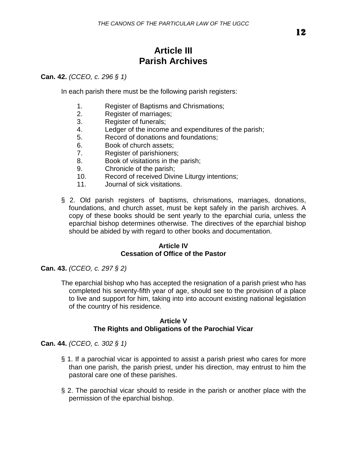# **Article III Parish Archives**

### **Can. 42.** *(CCEO, c. 296 § 1)*

In each parish there must be the following parish registers:

- 1. Register of Baptisms and Chrismations;
- 2. Register of marriages;
- 3. Register of funerals;
- 4. Ledger of the income and expenditures of the parish;
- 5. Record of donations and foundations;
- 6. Book of church assets;
- 7. Register of parishioners;
- 8. Book of visitations in the parish;
- 9. Chronicle of the parish;
- 10. Record of received Divine Liturgy intentions;
- 11. Journal of sick visitations.
- § 2. Old parish registers of baptisms, chrismations, marriages, donations, foundations, and church asset, must be kept safely in the parish archives. A copy of these books should be sent yearly to the eparchial curia, unless the eparchial bishop determines otherwise. The directives of the eparchial bishop should be abided by with regard to other books and documentation.

### **Article IV Cessation of Office of the Pastor**

**Can. 43.** *(CCEO, c. 297 § 2)*

The eparchial bishop who has accepted the resignation of a parish priest who has completed his seventy-fifth year of age, should see to the provision of a place to live and support for him, taking into into account existing national legislation of the country of his residence.

### **Article V The Rights and Obligations of the Parochial Vicar**

**Can. 44.** *(CCEO, c. 302 § 1)*

- § 1. If a parochial vicar is appointed to assist a parish priest who cares for more than one parish, the parish priest, under his direction, may entrust to him the pastoral care one of these parishes.
- § 2. The parochial vicar should to reside in the parish or another place with the permission of the eparchial bishop.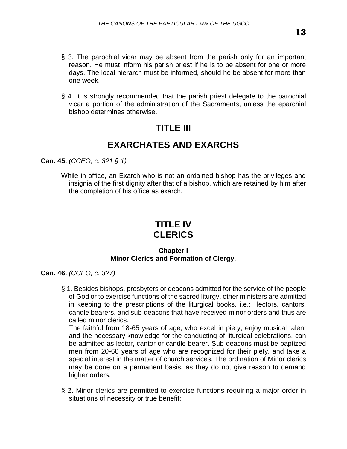- § 3. The parochial vicar may be absent from the parish only for an important reason. He must inform his parish priest if he is to be absent for one or more days. The local hierarch must be informed, should he be absent for more than one week.
- § 4. It is strongly recommended that the parish priest delegate to the parochial vicar a portion of the administration of the Sacraments, unless the eparchial bishop determines otherwise.

# **TITLE III**

# **EXARCHATES AND EXARCHS**

**Can. 45.** *(CCEO, c. 321 § 1)*

While in office, an Exarch who is not an ordained bishop has the privileges and insignia of the first dignity after that of a bishop, which are retained by him after the completion of his office as exarch.

# **TITLE IV CLERICS**

### **Chapter I Minor Clerics and Formation of Clergy.**

**Can. 46.** *(CCEO, c. 327)*

§ 1. Besides bishops, presbyters or deacons admitted for the service of the people of God or to exercise functions of the sacred liturgy, other ministers are admitted in keeping to the prescriptions of the liturgical books, i.e.: lectors, cantors, candle bearers, and sub-deacons that have received minor orders and thus are called minor clerics.

The faithful from 18-65 years of age, who excel in piety, enjoy musical talent and the necessary knowledge for the conducting of liturgical celebrations, can be admitted as lector, cantor or candle bearer. Sub-deacons must be baptized men from 20-60 years of age who are recognized for their piety, and take a special interest in the matter of church services. The ordination of Minor clerics may be done on a permanent basis, as they do not give reason to demand higher orders.

§ 2. Minor clerics are permitted to exercise functions requiring a major order in situations of necessity or true benefit: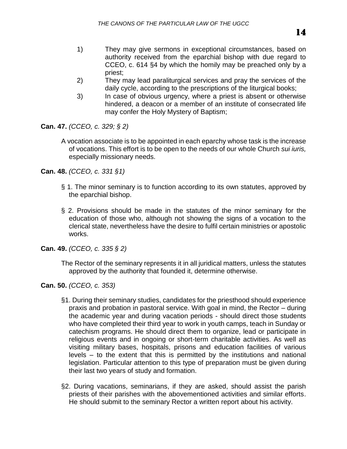- 1) They may give sermons in exceptional circumstances, based on authority received from the eparchial bishop with due regard to CCEO, c. 614 §4 by which the homily may be preached only by a priest;
- 2) They may lead paraliturgical services and pray the services of the daily cycle, according to the prescriptions of the liturgical books;
- 3) In case of obvious urgency, where a priest is absent or otherwise hindered, a deacon or a member of an institute of consecrated life may confer the Holy Mystery of Baptism;

**Can. 47.** *(CCEO, c. 329; § 2)*

A vocation associate is to be appointed in each eparchy whose task is the increase of vocations. This effort is to be open to the needs of our whole Church *sui iuris,* especially missionary needs.

**Can. 48.** *(CCEO, c. 331 §1)*

- § 1. The minor seminary is to function according to its own statutes, approved by the eparchial bishop.
- § 2. Provisions should be made in the statutes of the minor seminary for the education of those who, although not showing the signs of a vocation to the clerical state, nevertheless have the desire to fulfil certain ministries or apostolic works.

**Can. 49.** *(CCEO, c. 335 § 2)*

The Rector of the seminary represents it in all juridical matters, unless the statutes approved by the authority that founded it, determine otherwise.

**Can. 50.** *(CCEO, c. 353)*

- §1. During their seminary studies, candidates for the priesthood should experience praxis and probation in pastoral service. With goal in mind, the Rector – during the academic year and during vacation periods - should direct those students who have completed their third year to work in youth camps, teach in Sunday or catechism programs. He should direct them to organize, lead or participate in religious events and in ongoing or short-term charitable activities. As well as visiting military bases, hospitals, prisons and education facilities of various levels – to the extent that this is permitted by the institutions and national legislation. Particular attention to this type of preparation must be given during their last two years of study and formation.
- §2. During vacations, seminarians, if they are asked, should assist the parish priests of their parishes with the abovementioned activities and similar efforts. He should submit to the seminary Rector a written report about his activity.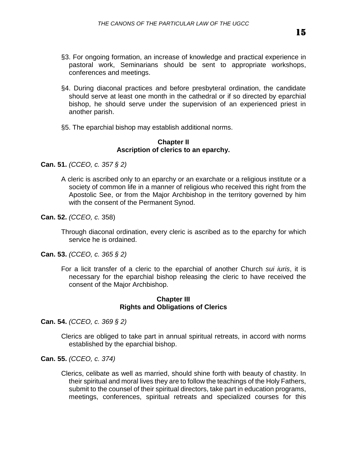- §3. For ongoing formation, an increase of knowledge and practical experience in pastoral work, Seminarians should be sent to appropriate workshops, conferences and meetings.
- §4. During diaconal practices and before presbyteral ordination, the candidate should serve at least one month in the cathedral or if so directed by eparchial bishop, he should serve under the supervision of an experienced priest in another parish.
- §5. The eparchial bishop may establish additional norms.

### **Chapter II Ascription of clerics to an eparchy.**

**Can. 51.** *(CCEO, c. 357 § 2)*

- A cleric is ascribed only to an eparchy or an exarchate or a religious institute or a society of common life in a manner of religious who received this right from the Apostolic See, or from the Major Archbishop in the territory governed by him with the consent of the Permanent Synod.
- **Can. 52.** *(CCEO, c.* 358)

Through diaconal ordination, every cleric is ascribed as to the eparchy for which service he is ordained.

- **Can. 53.** *(CCEO, c. 365 § 2)*
	- For a licit transfer of a cleric to the eparchial of another Church *sui iuris*, it is necessary for the eparchial bishop releasing the cleric to have received the consent of the Major Archbishop.

### **Chapter III Rights and Obligations of Clerics**

**Can. 54.** *(CCEO, c. 369 § 2)*

Clerics are obliged to take part in annual spiritual retreats, in accord with norms established by the eparchial bishop.

**Can. 55.** *(CCEO, c. 374)*

Clerics, celibate as well as married, should shine forth with beauty of chastity. In their spiritual and moral lives they are to follow the teachings of the Holy Fathers, submit to the counsel of their spiritual directors, take part in education programs, meetings, conferences, spiritual retreats and specialized courses for this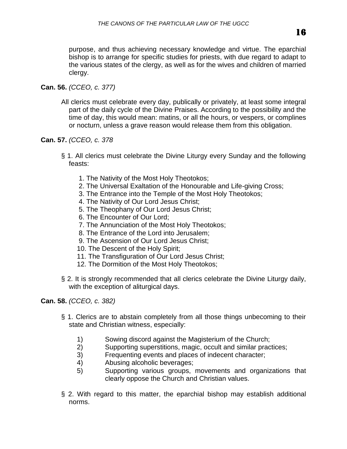purpose, and thus achieving necessary knowledge and virtue. The eparchial bishop is to arrange for specific studies for priests, with due regard to adapt to the various states of the clergy, as well as for the wives and children of married clergy.

## **Can. 56.** *(CCEO, c. 377)*

All clerics must celebrate every day, publically or privately, at least some integral part of the daily cycle of the Divine Praises. According to the possibility and the time of day, this would mean: matins, or all the hours, or vespers, or complines or nocturn, unless a grave reason would release them from this obligation.

### **Can. 57.** *(CCEO, c. 378*

- § 1. All clerics must celebrate the Divine Liturgy every Sunday and the following feasts:
	- 1. The Nativity of the Most Holy Theotokos;
	- 2. The Universal Exaltation of the Honourable and Life-giving Cross;
	- 3. The Entrance into the Temple of the Most Holy Theotokos;
	- 4. The Nativity of Our Lord Jesus Christ;
	- 5. The Theophany of Our Lord Jesus Christ;
	- 6. The Encounter of Our Lord;
	- 7. The Annunciation of the Most Holy Theotokos;
	- 8. The Entrance of the Lord into Jerusalem;
	- 9. The Ascension of Our Lord Jesus Christ;
	- 10. The Descent of the Holy Spirit;
	- 11. The Transfiguration of Our Lord Jesus Christ;
	- 12. The Dormition of the Most Holy Theotokos;
- § 2. It is strongly recommended that all clerics celebrate the Divine Liturgy daily, with the exception of aliturgical days.

### **Can. 58.** *(CCEO, c. 382)*

- § 1. Clerics are to abstain completely from all those things unbecoming to their state and Christian witness, especially:
	- 1) Sowing discord against the Magisterium of the Church;
	- 2) Supporting superstitions, magic, occult and similar practices;
	- 3) Frequenting events and places of indecent character;
	- 4) Abusing alcoholic beverages;
	- 5) Supporting various groups, movements and organizations that clearly oppose the Church and Christian values.
- § 2. With regard to this matter, the eparchial bishop may establish additional norms.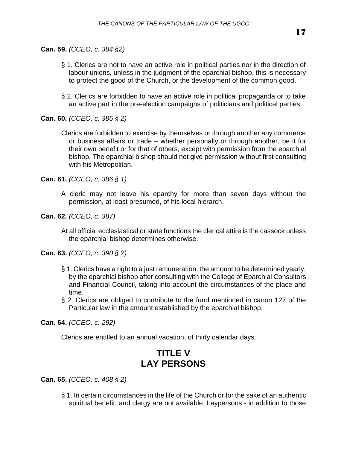**Can. 59.** *(CCEO, c. 384 §2)* 

- § 1. Clerics are not to have an active role in political parties nor in the direction of labour unions, unless in the judgment of the eparchial bishop, this is necessary to protect the good of the Church, or the development of the common good.
- § 2. Clerics are forbidden to have an active role in political propaganda or to take an active part in the pre-election campaigns of politicians and political parties.

**Can. 60.** *(CCEO, c. 385 § 2)*

Clerics are forbidden to exercise by themselves or through another any commerce or business affairs or trade – whether personally or through another, be it for their own benefit or for that of others, except with permission from the eparchial bishop. The eparchial bishop should not give permission without first consulting with his Metropolitan.

**Can. 61.** *(CCEO, c. 386 § 1)*

- A cleric may not leave his eparchy for more than seven days without the permission, at least presumed, of his local hierarch.
- **Can. 62.** *(CCEO, c. 387)*

At all official ecclesiastical or state functions the clerical attire is the cassock unless the eparchial bishop determines otherwise.

**Can. 63.** *(CCEO, c. 390 § 2)*

- § 1. Clerics have a right to a just remuneration, the amount to be determined yearly, by the eparchial bishop after consulting with the College of Eparchial Consultors and Financial Council, taking into account the circumstances of the place and time.
- § 2. Clerics are obliged to contribute to the fund mentioned in canon 127 of the Particular law in the amount established by the eparchial bishop.

**Can. 64.** *(CCEO, c. 292)*

Clerics are entitled to an annual vacation, of thirty calendar days.

# **TITLE V LAY PERSONS**

**Can. 65.** *(CCEO, c. 408 § 2)*

§ 1. In certain circumstances in the life of the Church or for the sake of an authentic spiritual benefit, and clergy are not available, Laypersons - in addition to those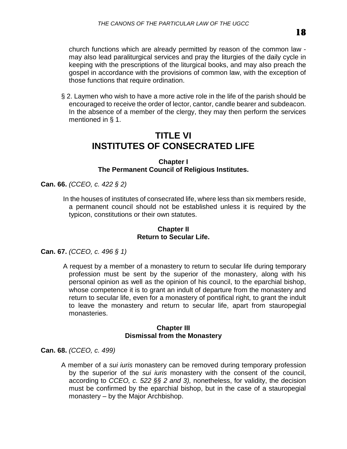church functions which are already permitted by reason of the common law may also lead paraliturgical services and pray the liturgies of the daily cycle in keeping with the prescriptions of the liturgical books, and may also preach the gospel in accordance with the provisions of common law, with the exception of those functions that require ordination.

§ 2. Laymen who wish to have a more active role in the life of the parish should be encouraged to receive the order of lector, cantor, candle bearer and subdeacon. In the absence of a member of the clergy, they may then perform the services mentioned in § 1.

## **TITLE VI INSTITUTES OF CONSECRATED LIFE**

### **Chapter I The Permanent Council of Religious Institutes.**

**Can. 66.** *(CCEO, c. 422 § 2)*

In the houses of institutes of consecrated life, where less than six members reside, a permanent council should not be established unless it is required by the typicon, constitutions or their own statutes.

### **Chapter II Return to Secular Life.**

**Can. 67.** *(CCEO, c. 496 § 1)*

A request by a member of a monastery to return to secular life during temporary profession must be sent by the superior of the monastery, along with his personal opinion as well as the opinion of his council, to the eparchial bishop, whose competence it is to grant an indult of departure from the monastery and return to secular life, even for a monastery of pontifical right, to grant the indult to leave the monastery and return to secular life, apart from stauropegial monasteries.

### **Chapter III Dismissal from the Monastery**

**Can. 68.** *(CCEO, c. 499)*

A member of a *sui iuris* monastery can be removed during temporary profession by the superior of the *sui iuris* monastery with the consent of the council, according to *CCEO, c. 522 §§ 2 and 3),* nonetheless, for validity, the decision must be confirmed by the eparchial bishop, but in the case of a stauropegial monastery – by the Major Archbishop.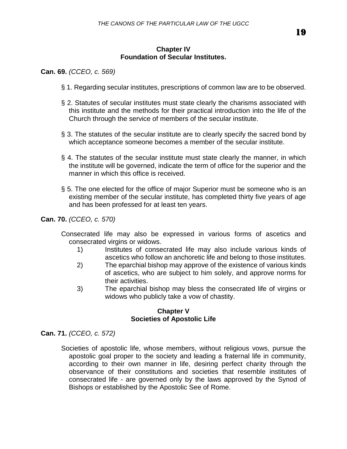### **Chapter IV Foundation of Secular Institutes.**

**Can. 69.** *(CCEO, c. 569)*

- § 1. Regarding secular institutes, prescriptions of common law are to be observed.
- § 2. Statutes of secular institutes must state clearly the charisms associated with this institute and the methods for their practical introduction into the life of the Church through the service of members of the secular institute.
- § 3. The statutes of the secular institute are to clearly specify the sacred bond by which acceptance someone becomes a member of the secular institute.
- § 4. The statutes of the secular institute must state clearly the manner, in which the institute will be governed, indicate the term of office for the superior and the manner in which this office is received.
- § 5. The one elected for the office of major Superior must be someone who is an existing member of the secular institute, has completed thirty five years of age and has been professed for at least ten years.

**Can. 70.** *(CCEO, c. 570)*

- Consecrated life may also be expressed in various forms of ascetics and consecrated virgins or widows.
	- 1) Institutes of consecrated life may also include various kinds of ascetics who follow an anchoretic life and belong to those institutes.
	- 2) The eparchial bishop may approve of the existence of various kinds of ascetics, who are subject to him solely, and approve norms for their activities.
	- 3) The eparchial bishop may bless the consecrated life of virgins or widows who publicly take a vow of chastity.

### **Chapter V Societies of Apostolic Life**

**Can. 71.** *(CCEO, c. 572)*

Societies of apostolic life, whose members, without religious vows, pursue the apostolic goal proper to the society and leading a fraternal life in community, according to their own manner in life, desiring perfect charity through the observance of their constitutions and societies that resemble institutes of consecrated life - are governed only by the laws approved by the Synod of Bishops or established by the Apostolic See of Rome.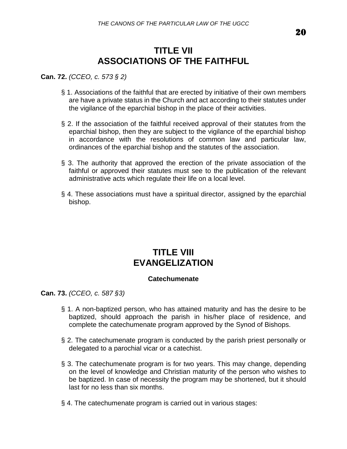# **TITLE VII ASSOCIATIONS OF THE FAITHFUL**

### **Can. 72.** *(CCEO, c. 573 § 2)*

- § 1. Associations of the faithful that are erected by initiative of their own members are have a private status in the Church and act according to their statutes under the vigilance of the eparchial bishop in the place of their activities.
- § 2. If the association of the faithful received approval of their statutes from the eparchial bishop, then they are subject to the vigilance of the eparchial bishop in accordance with the resolutions of common law and particular law, ordinances of the eparchial bishop and the statutes of the association.
- § 3. The authority that approved the erection of the private association of the faithful or approved their statutes must see to the publication of the relevant administrative acts which regulate their life on a local level.
- § 4. These associations must have a spiritual director, assigned by the eparchial bishop.

## **TITLE VIII EVANGELIZATION**

### **Catechumenate**

**Can. 73.** *(CCEO, c. 587 §3)*

- § 1. A non-baptized person, who has attained maturity and has the desire to be baptized, should approach the parish in his/her place of residence, and complete the catechumenate program approved by the Synod of Bishops.
- § 2. The catechumenate program is conducted by the parish priest personally or delegated to a parochial vicar or a catechist.
- § 3. The catechumenate program is for two years. This may change, depending on the level of knowledge and Christian maturity of the person who wishes to be baptized. In case of necessity the program may be shortened, but it should last for no less than six months.
- § 4. The catechumenate program is carried out in various stages: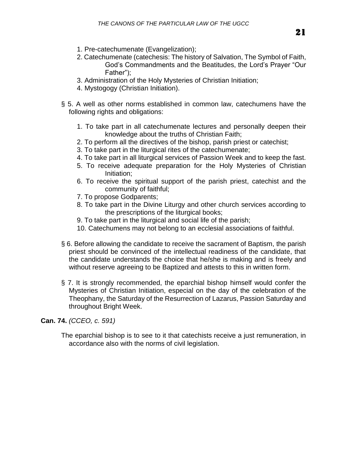- 1. Pre-catechumenate (Evangelization);
- 2. Catechumenate (catechesis: The history of Salvation, The Symbol of Faith, God's Commandments and the Beatitudes, the Lord's Prayer "Our Father");
- 3. Administration of the Holy Mysteries of Christian Initiation;
- 4. Mystogogy (Christian Initiation).
- § 5. A well as other norms established in common law, catechumens have the following rights and obligations:
	- 1. To take part in all catechumenate lectures and personally deepen their knowledge about the truths of Christian Faith;
	- 2. To perform all the directives of the bishop, parish priest or catechist;
	- 3. To take part in the liturgical rites of the catechumenate;
	- 4. To take part in all liturgical services of Passion Week and to keep the fast.
	- 5. To receive adequate preparation for the Holy Mysteries of Christian Initiation;
	- 6. To receive the spiritual support of the parish priest, catechist and the community of faithful;
	- 7. To propose Godparents;
	- 8. To take part in the Divine Liturgy and other church services according to the prescriptions of the liturgical books;
	- 9. To take part in the liturgical and social life of the parish;
	- 10. Catechumens may not belong to an ecclesial associations of faithful.
- § 6. Before allowing the candidate to receive the sacrament of Baptism, the parish priest should be convinced of the intellectual readiness of the candidate, that the candidate understands the choice that he/she is making and is freely and without reserve agreeing to be Baptized and attests to this in written form.
- § 7. It is strongly recommended, the eparchial bishop himself would confer the Mysteries of Christian Initiation, especial on the day of the celebration of the Theophany, the Saturday of the Resurrection of Lazarus, Passion Saturday and throughout Bright Week.

**Can. 74.** *(CCEO, c. 591)*

The eparchial bishop is to see to it that catechists receive a just remuneration, in accordance also with the norms of civil legislation.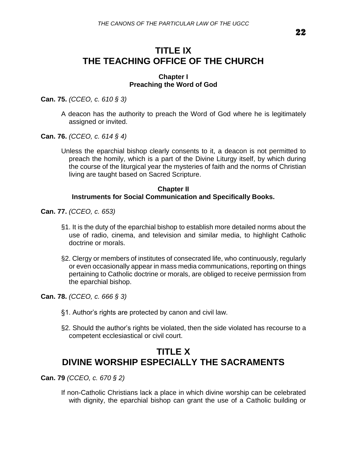# **TITLE IX THE TEACHING OFFICE OF THE CHURCH**

#### **Chapter I Preaching the Word of God**

**Can. 75.** *(CCEO, c. 610 § 3)*

- A deacon has the authority to preach the Word of God where he is legitimately assigned or invited.
- **Can. 76.** *(CCEO, c. 614 § 4)*
	- Unless the eparchial bishop clearly consents to it, a deacon is not permitted to preach the homily, which is a part of the Divine Liturgy itself, by which during the course of the liturgical year the mysteries of faith and the norms of Christian living are taught based on Sacred Scripture.

#### **Chapter II Instruments for Social Communication and Specifically Books.**

**Can. 77.** *(CCEO, c. 653)*

- §1. It is the duty of the eparchial bishop to establish more detailed norms about the use of radio, cinema, and television and similar media, to highlight Catholic doctrine or morals.
- §2. Clergy or members of institutes of consecrated life, who continuously, regularly or even occasionally appear in mass media communications, reporting on things pertaining to Catholic doctrine or morals, are obliged to receive permission from the eparchial bishop.

**Can. 78.** *(CCEO, c. 666 § 3)*

- §1. Author's rights are protected by canon and civil law.
- §2. Should the author's rights be violated, then the side violated has recourse to a competent ecclesiastical or civil court.

# **TITLE X DIVINE WORSHIP ESPECIALLY THE SACRAMENTS**

**Can. 79** *(CCEO, c. 670 § 2)*

If non-Catholic Christians lack a place in which divine worship can be celebrated with dignity, the eparchial bishop can grant the use of a Catholic building or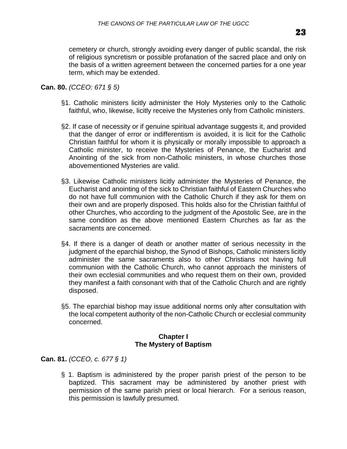cemetery or church, strongly avoiding every danger of public scandal, the risk of religious syncretism or possible profanation of the sacred place and only on the basis of a written agreement between the concerned parties for a one year term, which may be extended.

### **Can. 80.** *(CCEO: 671 § 5)*

- §1. Catholic ministers licitly administer the Holy Mysteries only to the Catholic faithful, who, likewise, licitly receive the Mysteries only from Catholic ministers.
- §2. If case of necessity or if genuine spiritual advantage suggests it, and provided that the danger of error or indifferentism is avoided, it is licit for the Catholic Christian faithful for whom it is physically or morally impossible to approach a Catholic minister, to receive the Mysteries of Penance, the Eucharist and Anointing of the sick from non-Catholic ministers, in whose churches those abovementioned Mysteries are valid.
- §3. Likewise Catholic ministers licitly administer the Mysteries of Penance, the Eucharist and anointing of the sick to Christian faithful of Eastern Churches who do not have full communion with the Catholic Church if they ask for them on their own and are properly disposed. This holds also for the Christian faithful of other Churches, who according to the judgment of the Apostolic See, are in the same condition as the above mentioned Eastern Churches as far as the sacraments are concerned.
- §4. If there is a danger of death or another matter of serious necessity in the judgment of the eparchial bishop, the Synod of Bishops, Catholic ministers licitly administer the same sacraments also to other Christians not having full communion with the Catholic Church, who cannot approach the ministers of their own ecclesial communities and who request them on their own, provided they manifest a faith consonant with that of the Catholic Church and are rightly disposed.
- §5. The eparchial bishop may issue additional norms only after consultation with the local competent authority of the non-Catholic Church or ecclesial community concerned.

### **Chapter I The Mystery of Baptism**

**Can. 81.** *(CCEO, c. 677 § 1)*

§ 1. Baptism is administered by the proper parish priest of the person to be baptized. This sacrament may be administered by another priest with permission of the same parish priest or local hierarch. For a serious reason, this permission is lawfully presumed.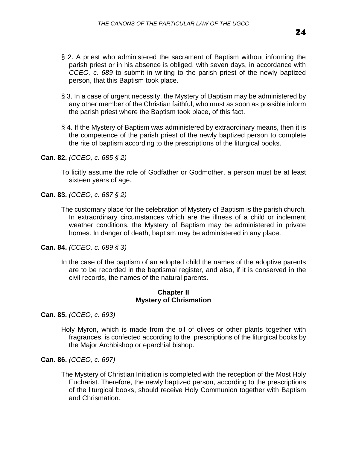- § 2. A priest who administered the sacrament of Baptism without informing the parish priest or in his absence is obliged, with seven days, in accordance with *CCEO, c. 689* to submit in writing to the parish priest of the newly baptized person, that this Baptism took place.
- § 3. In a case of urgent necessity, the Mystery of Baptism may be administered by any other member of the Christian faithful, who must as soon as possible inform the parish priest where the Baptism took place, of this fact.
- § 4. If the Mystery of Baptism was administered by extraordinary means, then it is the competence of the parish priest of the newly baptized person to complete the rite of baptism according to the prescriptions of the liturgical books.

To licitly assume the role of Godfather or Godmother, a person must be at least sixteen years of age.

**Can. 83.** *(CCEO, c. 687 § 2)*

The customary place for the celebration of Mystery of Baptism is the parish church. In extraordinary circumstances which are the illness of a child or inclement weather conditions, the Mystery of Baptism may be administered in private homes. In danger of death, baptism may be administered in any place.

**Can. 84.** *(CCEO, c. 689 § 3)*

In the case of the baptism of an adopted child the names of the adoptive parents are to be recorded in the baptismal register, and also, if it is conserved in the civil records, the names of the natural parents.

### **Chapter II Mystery of Chrismation**

**Can. 85.** *(CCEO, c. 693)*

Holy Myron, which is made from the oil of olives or other plants together with fragrances, is confected according to the prescriptions of the liturgical books by the Major Archbishop or eparchial bishop.

**Can. 86.** *(CCEO, c. 697)*

The Mystery of Christian Initiation is completed with the reception of the Most Holy Eucharist. Therefore, the newly baptized person, according to the prescriptions of the liturgical books, should receive Holy Communion together with Baptism and Chrismation.

**Can. 82.** *(CCEO, c. 685 § 2)*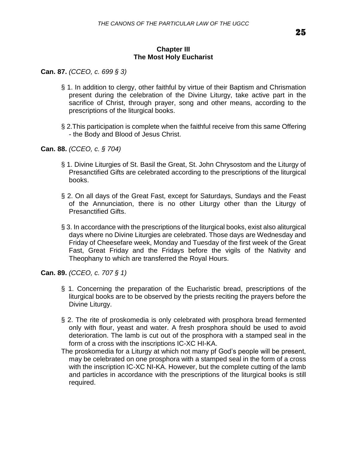### **Chapter III The Most Holy Eucharist**

**Can. 87.** *(CCEO, c. 699 § 3)*

- § 1. In addition to clergy, other faithful by virtue of their Baptism and Chrismation present during the celebration of the Divine Liturgy, take active part in the sacrifice of Christ, through prayer, song and other means, according to the prescriptions of the liturgical books.
- § 2.This participation is complete when the faithful receive from this same Offering - the Body and Blood of Jesus Christ.

**Can. 88.** *(CCEO, c. § 704)*

- § 1. Divine Liturgies of St. Basil the Great, St. John Chrysostom and the Liturgy of Presanctified Gifts are celebrated according to the prescriptions of the liturgical books.
- § 2. On all days of the Great Fast, except for Saturdays, Sundays and the Feast of the Annunciation, there is no other Liturgy other than the Liturgy of Presanctified Gifts.
- § 3. In accordance with the prescriptions of the liturgical books, exist also aliturgical days where no Divine Liturgies are celebrated. Those days are Wednesday and Friday of Cheesefare week, Monday and Tuesday of the first week of the Great Fast, Great Friday and the Fridays before the vigils of the Nativity and Theophany to which are transferred the Royal Hours.

**Can. 89.** *(CCEO, c. 707 § 1)*

- § 1. Concerning the preparation of the Eucharistic bread, prescriptions of the liturgical books are to be observed by the priests reciting the prayers before the Divine Liturgy.
- § 2. The rite of proskomedia is only celebrated with prosphora bread fermented only with flour, yeast and water. A fresh prosphora should be used to avoid deterioration. The lamb is cut out of the prosphora with a stamped seal in the form of a cross with the inscriptions IC-XC HI-KA.
- The proskomedia for a Liturgy at which not many pf God's people will be present, may be celebrated on one prosphora with a stamped seal in the form of a cross with the inscription IC-XC NI-KA. However, but the complete cutting of the lamb and particles in accordance with the prescriptions of the liturgical books is still required.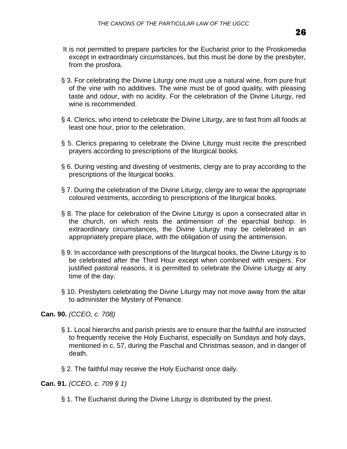- It is not permitted to prepare particles for the Eucharist prior to the Proskomedia except in extraordinary circumstances, but this must be done by the presbyter, from the prosfora.
- § 3. For celebrating the Divine Liturgy one must use a natural wine, from pure fruit of the vine with no additives. The wine must be of good quality, with pleasing taste and odour, with no acidity. For the celebration of the Divine Liturgy, red wine is recommended.
- § 4. Clerics, who intend to celebrate the Divine Liturgy, are to fast from all foods at least one hour, prior to the celebration.
- § 5. Clerics preparing to celebrate the Divine Liturgy must recite the prescribed prayers according to prescriptions of the liturgical books.
- § 6. During vesting and divesting of vestments, clergy are to pray according to the prescriptions of the liturgical books.
- § 7. During the celebration of the Divine Liturgy, clergy are to wear the appropriate coloured vestments, according to prescriptions of the liturgical books.
- § 8. The place for celebration of the Divine Liturgy is upon a consecrated altar in the church, on which rests the antimension of the eparchial bishop. In extraordinary circumstances, the Divine Liturgy may be celebrated in an appropriately prepare place, with the obligation of using the antimension.
- § 9. In accordance with prescriptions of the liturgical books, the Divine Liturgy is to be celebrated after the Third Hour except when combined with vespers. For justified pastoral reasons, it is permitted to celebrate the Divine Liturgy at any time of the day.
- § 10. Presbyters celebrating the Divine Liturgy may not move away from the altar to administer the Mystery of Penance.

**Can. 90.** *(CCEO, c. 708)*

- § 1. Local hierarchs and parish priests are to ensure that the faithful are instructed to frequently receive the Holy Eucharist, especially on Sundays and holy days, mentioned in c. 57, during the Paschal and Christmas season, and in danger of death.
- § 2. The faithful may receive the Holy Eucharist once daily.

**Can. 91.** *(CCEO, c. 709 § 1)*

§ 1. The Eucharist during the Divine Liturgy is distributed by the priest.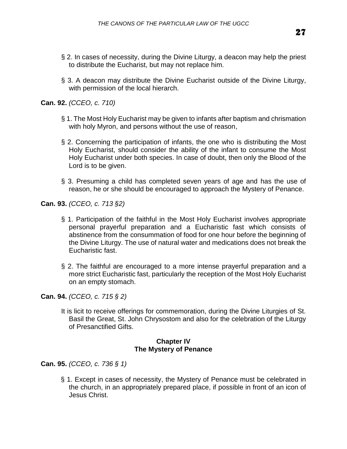- § 2. In cases of necessity, during the Divine Liturgy, a deacon may help the priest to distribute the Eucharist, but may not replace him.
- § 3. A deacon may distribute the Divine Eucharist outside of the Divine Liturgy, with permission of the local hierarch.

**Can. 92.** *(CCEO, c. 710)*

- § 1. The Most Holy Eucharist may be given to infants after baptism and chrismation with holy Myron, and persons without the use of reason,
- § 2. Concerning the participation of infants, the one who is distributing the Most Holy Eucharist, should consider the ability of the infant to consume the Most Holy Eucharist under both species. In case of doubt, then only the Blood of the Lord is to be given.
- § 3. Presuming a child has completed seven years of age and has the use of reason, he or she should be encouraged to approach the Mystery of Penance.

**Can. 93.** *(CCEO, c. 713 §2)*

- § 1. Participation of the faithful in the Most Holy Eucharist involves appropriate personal prayerful preparation and a Eucharistic fast which consists of abstinence from the consummation of food for one hour before the beginning of the Divine Liturgy. The use of natural water and medications does not break the Eucharistic fast.
- § 2. The faithful are encouraged to a more intense prayerful preparation and a more strict Eucharistic fast, particularly the reception of the Most Holy Eucharist on an empty stomach.

**Can. 94.** *(CCEO, c. 715 § 2)*

It is licit to receive offerings for commemoration, during the Divine Liturgies of St. Basil the Great, St. John Chrysostom and also for the celebration of the Liturgy of Presanctified Gifts.

#### **Chapter IV The Mystery of Penance**

**Can. 95.** *(CCEO, c. 736 § 1)*

§ 1. Except in cases of necessity, the Mystery of Penance must be celebrated in the church, in an appropriately prepared place, if possible in front of an icon of Jesus Christ.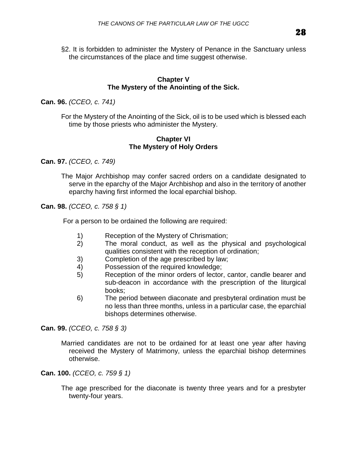§2. It is forbidden to administer the Mystery of Penance in the Sanctuary unless the circumstances of the place and time suggest otherwise.

### **Chapter V The Mystery of the Anointing of the Sick.**

**Can. 96.** *(CCEO, c. 741)*

For the Mystery of the Anointing of the Sick, oil is to be used which is blessed each time by those priests who administer the Mystery.

### **Chapter VI The Mystery of Holy Orders**

**Can. 97.** *(CCEO, c. 749)*

The Major Archbishop may confer sacred orders on a candidate designated to serve in the eparchy of the Major Archbishop and also in the territory of another eparchy having first informed the local eparchial bishop.

**Can. 98.** *(CCEO, c. 758 § 1)*

For a person to be ordained the following are required:

- 1) Reception of the Mystery of Chrismation;
- 2) The moral conduct, as well as the physical and psychological qualities consistent with the reception of ordination;
- 3) Completion of the age prescribed by law;
- 4) Possession of the required knowledge;
- 5) Reception of the minor orders of lector, cantor, candle bearer and sub-deacon in accordance with the prescription of the liturgical books;
- 6) The period between diaconate and presbyteral ordination must be no less than three months, unless in a particular case, the eparchial bishops determines otherwise.

**Can. 99.** *(CCEO, c. 758 § 3)*

Married candidates are not to be ordained for at least one year after having received the Mystery of Matrimony, unless the eparchial bishop determines otherwise.

**Can. 100.** *(CCEO, c. 759 § 1)*

The age prescribed for the diaconate is twenty three years and for a presbyter twenty-four years.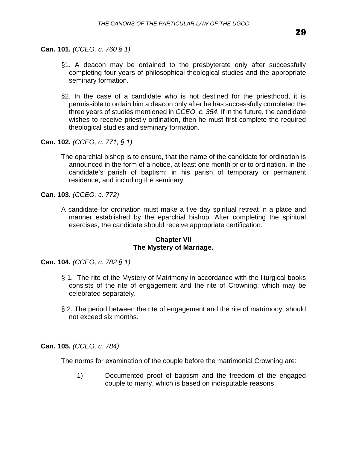**Can. 101.** *(CCEO, c. 760 § 1)*

- §1. A deacon may be ordained to the presbyterate only after successfully completing four years of philosophical-theological studies and the appropriate seminary formation.
- §2. In the case of a candidate who is not destined for the priesthood, it is permissible to ordain him a deacon only after he has successfully completed the three years of studies mentioned in *CCEO, c. 354.* If in the future, the candidate wishes to receive priestly ordination, then he must first complete the required theological studies and seminary formation.

**Can. 102.** *(CCEO, c. 771, § 1)*

The eparchial bishop is to ensure, that the name of the candidate for ordination is announced in the form of a notice, at least one month prior to ordination, in the candidate's parish of baptism; in his parish of temporary or permanent residence, and including the seminary.

**Can. 103.** *(CCEO, c. 772)*

A candidate for ordination must make a five day spiritual retreat in a place and manner established by the eparchial bishop. After completing the spiritual exercises, the candidate should receive appropriate certification.

### **Chapter VII The Mystery of Marriage.**

**Can. 104.** *(CCEO, c. 782 § 1)*

- § 1. The rite of the Mystery of Matrimony in accordance with the liturgical books consists of the rite of engagement and the rite of Crowning, which may be celebrated separately.
- § 2. The period between the rite of engagement and the rite of matrimony, should not exceed six months.

**Can. 105.** *(CCEO, c. 784)*

The norms for examination of the couple before the matrimonial Crowning are:

1) Documented proof of baptism and the freedom of the engaged couple to marry, which is based on indisputable reasons.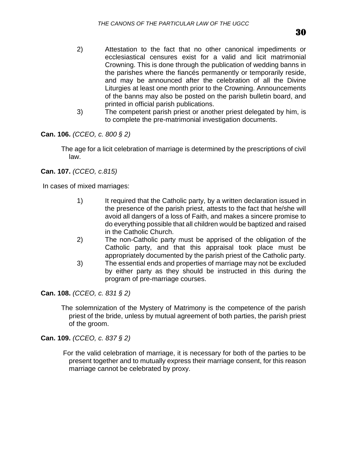- 2) Attestation to the fact that no other canonical impediments or ecclesiastical censures exist for a valid and licit matrimonial Crowning. This is done through the publication of wedding banns in the parishes where the fiancés permanently or temporarily reside, and may be announced after the celebration of all the Divine Liturgies at least one month prior to the Crowning. Announcements of the banns may also be posted on the parish bulletin board, and printed in official parish publications.
- 3) The competent parish priest or another priest delegated by him, is to complete the pre-matrimonial investigation documents.

**Can. 106.** *(CCEO, c. 800 § 2)*

The age for a licit celebration of marriage is determined by the prescriptions of civil law.

**Can. 107.** *(CCEO, c.815)*

In cases of mixed marriages:

- 1) It required that the Catholic party, by a written declaration issued in the presence of the parish priest, attests to the fact that he/she will avoid all dangers of a loss of Faith, and makes a sincere promise to do everything possible that all children would be baptized and raised in the Catholic Church.
- 2) The non-Catholic party must be apprised of the obligation of the Catholic party, and that this appraisal took place must be appropriately documented by the parish priest of the Catholic party.
- 3) The essential ends and properties of marriage may not be excluded by either party as they should be instructed in this during the program of pre-marriage courses.

**Can. 108.** *(CCEO, c. 831 § 2)*

The solemnization of the Mystery of Matrimony is the competence of the parish priest of the bride, unless by mutual agreement of both parties, the parish priest of the groom.

**Can. 109.** *(CCEO, c. 837 § 2)*

For the valid celebration of marriage, it is necessary for both of the parties to be present together and to mutually express their marriage consent, for this reason marriage cannot be celebrated by proxy.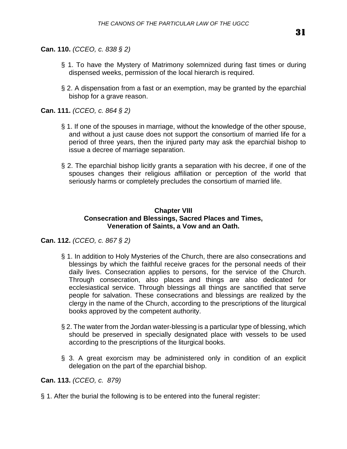**Can. 110.** *(CCEO, c. 838 § 2)*

- § 1. To have the Mystery of Matrimony solemnized during fast times or during dispensed weeks, permission of the local hierarch is required.
- § 2. A dispensation from a fast or an exemption, may be granted by the eparchial bishop for a grave reason.

**Can. 111.** *(CCEO, c. 864 § 2)*

- § 1. If one of the spouses in marriage, without the knowledge of the other spouse, and without a just cause does not support the consortium of married life for a period of three years, then the injured party may ask the eparchial bishop to issue a decree of marriage separation.
- § 2. The eparchial bishop licitly grants a separation with his decree, if one of the spouses changes their religious affiliation or perception of the world that seriously harms or completely precludes the consortium of married life.

### **Chapter VIII Consecration and Blessings, Sacred Places and Times, Veneration of Saints, a Vow and an Oath.**

**Can. 112.** *(CCEO, c. 867 § 2)*

- § 1. In addition to Holy Mysteries of the Church, there are also consecrations and blessings by which the faithful receive graces for the personal needs of their daily lives. Consecration applies to persons, for the service of the Church. Through consecration, also places and things are also dedicated for ecclesiastical service. Through blessings all things are sanctified that serve people for salvation. These consecrations and blessings are realized by the clergy in the name of the Church, according to the prescriptions of the liturgical books approved by the competent authority.
- § 2. The water from the Jordan water-blessing is a particular type of blessing, which should be preserved in specially designated place with vessels to be used according to the prescriptions of the liturgical books.
- § 3. A great exorcism may be administered only in condition of an explicit delegation on the part of the eparchial bishop.

**Can. 113.** *(CCEO, c. 879)*

§ 1. After the burial the following is to be entered into the funeral register: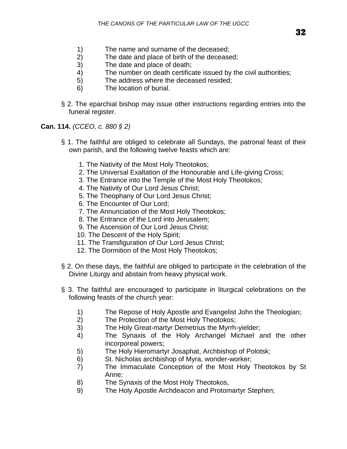- 1) The name and surname of the deceased;
- 2) The date and place of birth of the deceased;
- 3) The date and place of death;
- 4) The number on death certificate issued by the civil authorities;
- 5) The address where the deceased resided;
- 6) The location of burial.
- § 2. The eparchial bishop may issue other instructions regarding entries into the funeral register.

**Can. 114.** *(CCEO, c. 880 § 2)*

- § 1. The faithful are obliged to celebrate all Sundays, the patronal feast of their own parish, and the following twelve feasts which are:
	- 1. The Nativity of the Most Holy Theotokos;
	- 2. The Universal Exaltation of the Honourable and Life-giving Cross;
	- 3. The Entrance into the Temple of the Most Holy Theotokos;
	- 4. The Nativity of Our Lord Jesus Christ;
	- 5. The Theophany of Our Lord Jesus Christ;
	- 6. The Encounter of Our Lord;
	- 7. The Annunciation of the Most Holy Theotokos;
	- 8. The Entrance of the Lord into Jerusalem;
	- 9. The Ascension of Our Lord Jesus Christ;
	- 10. The Descent of the Holy Spirit;
	- 11. The Transfiguration of Our Lord Jesus Christ;
	- 12. The Dormition of the Most Holy Theotokos;
- § 2. On these days, the faithful are obliged to participate in the celebration of the Divine Liturgy and abstain from heavy physical work.
- § 3. The faithful are encouraged to participate in liturgical celebrations on the following feasts of the church year:
	- 1) The Repose of Holy Apostle and Evangelist John the Theologian;
	- 2) The Protection of the Most Holy Theotokos;
	- 3) The Holy Great-martyr Demetrius the Myrrh-yielder;
	- 4) The Synaxis of the Holy Archangel Michael and the other incorporeal powers;
	- 5) The Holy Hieromartyr Josaphat, Archbishop of Polotsk;
	- 6) St. Nicholas archbishop of Myra, wonder-worker;
	- 7) The Immaculate Conception of the Most Holy Theotokos by St Anne;
	- 8) The Synaxis of the Most Holy Theotokos,
	- 9) The Holy Apostle Archdeacon and Protomartyr Stephen;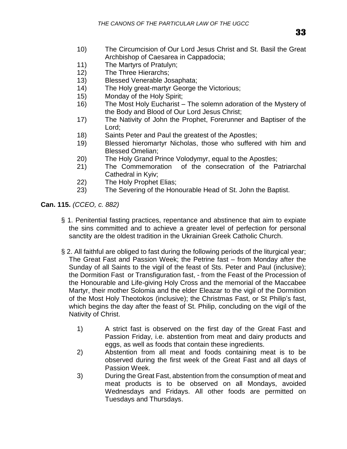- 10) The Circumcision of Our Lord Jesus Christ and St. Basil the Great Archbishop of Caesarea in Cappadocia;
- 11) The Martyrs of Pratulyn;
- 12) The Three Hierarchs;
- 13) Blessed Venerable Josaphata;
- 14) The Holy great-martyr George the Victorious;
- 15) Monday of the Holy Spirit;
- 16) The Most Holy Eucharist The solemn adoration of the Mystery of the Body and Blood of Our Lord Jesus Christ;
- 17) The Nativity of John the Prophet, Forerunner and Baptiser of the Lord;
- 18) Saints Peter and Paul the greatest of the Apostles;
- 19) Blessed hieromartyr Nicholas, those who suffered with him and Blessed Omelian;
- 20) The Holy Grand Prince Volodymyr, equal to the Apostles;
- 21) The Commemoration of the consecration of the Patriarchal Cathedral in Kyiv;
- 22) The Holy Prophet Elias;
- 23) The Severing of the Honourable Head of St. John the Baptist.

**Can. 115.** *(CCEO, c. 882)*

- § 1. Penitential fasting practices, repentance and abstinence that aim to expiate the sins committed and to achieve a greater level of perfection for personal sanctity are the oldest tradition in the Ukrainian Greek Catholic Church.
- § 2. All faithful are obliged to fast during the following periods of the liturgical year; The Great Fast and Passion Week; the Petrine fast – from Monday after the Sunday of all Saints to the vigil of the feast of Sts. Peter and Paul (inclusive); the Dormition Fast or Transfiguration fast, - from the Feast of the Procession of the Honourable and Life-giving Holy Cross and the memorial of the Maccabee Martyr, their mother Solomia and the elder Eleazar to the vigil of the Dormition of the Most Holy Theotokos (inclusive); the Christmas Fast, or St Philip's fast, which begins the day after the feast of St. Philip, concluding on the vigil of the Nativity of Christ.
	- 1) A strict fast is observed on the first day of the Great Fast and Passion Friday, i.e. abstention from meat and dairy products and eggs, as well as foods that contain these ingredients.
	- 2) Abstention from all meat and foods containing meat is to be observed during the first week of the Great Fast and all days of Passion Week.
	- 3) During the Great Fast, abstention from the consumption of meat and meat products is to be observed on all Mondays, avoided Wednesdays and Fridays. All other foods are permitted on Tuesdays and Thursdays.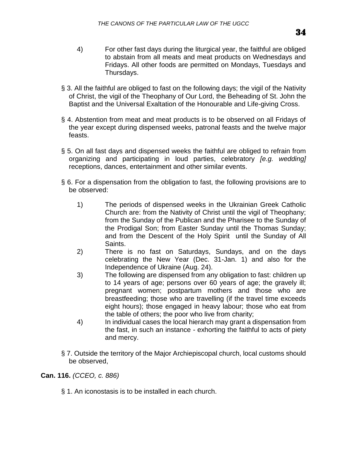- 4) For other fast days during the liturgical year, the faithful are obliged to abstain from all meats and meat products on Wednesdays and Fridays. All other foods are permitted on Mondays, Tuesdays and Thursdays.
- § 3. All the faithful are obliged to fast on the following days; the vigil of the Nativity of Christ, the vigil of the Theophany of Our Lord, the Beheading of St. John the Baptist and the Universal Exaltation of the Honourable and Life-giving Cross.
- § 4. Abstention from meat and meat products is to be observed on all Fridays of the year except during dispensed weeks, patronal feasts and the twelve major feasts.
- § 5. On all fast days and dispensed weeks the faithful are obliged to refrain from organizing and participating in loud parties, celebratory *[e.g. wedding]*  receptions, dances, entertainment and other similar events.
- § 6. For a dispensation from the obligation to fast, the following provisions are to be observed:
	- 1) The periods of dispensed weeks in the Ukrainian Greek Catholic Church are: from the Nativity of Christ until the vigil of Theophany; from the Sunday of the Publican and the Pharisee to the Sunday of the Prodigal Son; from Easter Sunday until the Thomas Sunday; and from the Descent of the Holy Spirit until the Sunday of All Saints.
	- 2) There is no fast on Saturdays, Sundays, and on the days celebrating the New Year (Dec. 31-Jan. 1) and also for the Independence of Ukraine (Aug. 24).
	- 3) The following are dispensed from any obligation to fast: children up to 14 years of age; persons over 60 years of age; the gravely ill; pregnant women; postpartum mothers and those who are breastfeeding; those who are travelling (if the travel time exceeds eight hours); those engaged in heavy labour; those who eat from the table of others; the poor who live from charity;
	- 4) In individual cases the local hierarch may grant a dispensation from the fast, in such an instance - exhorting the faithful to acts of piety and mercy.
- § 7. Outside the territory of the Major Archiepiscopal church, local customs should be observed,

**Can. 116.** *(CCEO, c. 886)*

§ 1. An iconostasis is to be installed in each church.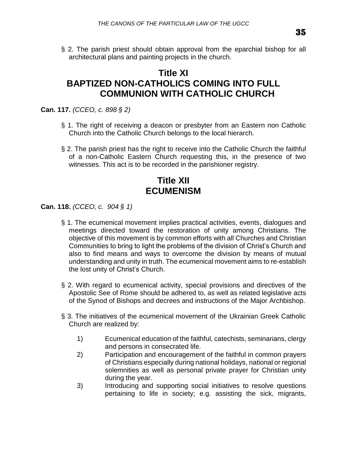§ 2. The parish priest should obtain approval from the eparchial bishop for all architectural plans and painting projects in the church.

# **Title XI BAPTIZED NON-CATHOLICS COMING INTO FULL COMMUNION WITH CATHOLIC CHURCH**

**Can. 117.** *(CCEO, c. 898 § 2)*

- § 1. The right of receiving a deacon or presbyter from an Eastern non Catholic Church into the Catholic Church belongs to the local hierarch.
- § 2. The parish priest has the right to receive into the Catholic Church the faithful of a non-Catholic Eastern Church requesting this, in the presence of two witnesses. This act is to be recorded in the parishioner registry.

# **Title XII ECUMENISM**

**Can. 118.** *(CCEO, c. 904 § 1)*

- § 1. The ecumenical movement implies practical activities, events, dialogues and meetings directed toward the restoration of unity among Christians. The objective of this movement is by common efforts with all Churches and Christian Communities to bring to light the problems of the division of Christ's Church and also to find means and ways to overcome the division by means of mutual understanding and unity in truth. The ecumenical movement aims to re-establish the lost unity of Christ's Church.
- § 2. With regard to ecumenical activity, special provisions and directives of the Apostolic See of Rome should be adhered to, as well as related legislative acts of the Synod of Bishops and decrees and instructions of the Major Archbishop.
- § 3. The initiatives of the ecumenical movement of the Ukrainian Greek Catholic Church are realized by:
	- 1) Ecumenical education of the faithful, catechists, seminarians, clergy and persons in consecrated life.
	- 2) Participation and encouragement of the faithful in common prayers of Christians especially during national holidays, national or regional solemnities as well as personal private prayer for Christian unity during the year.
	- 3) Introducing and supporting social initiatives to resolve questions pertaining to life in society; e.g. assisting the sick, migrants,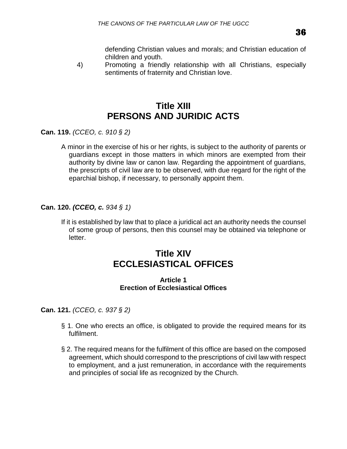defending Christian values and morals; and Christian education of children and youth.

4) Promoting a friendly relationship with all Christians, especially sentiments of fraternity and Christian love.

# **Title XIII PERSONS AND JURIDIC ACTS**

**Can. 119.** *(CCEO, c. 910 § 2)*

A minor in the exercise of his or her rights, is subject to the authority of parents or guardians except in those matters in which minors are exempted from their authority by divine law or canon law. Regarding the appointment of guardians, the prescripts of civil law are to be observed, with due regard for the right of the eparchial bishop, if necessary, to personally appoint them.

### **Can. 120.** *(CCEO, c. 934 § 1)*

If it is established by law that to place a juridical act an authority needs the counsel of some group of persons, then this counsel may be obtained via telephone or letter.

# **Title XIV ECCLESIASTICAL OFFICES**

### **Article 1 Erection of Ecclesiastical Offices**

**Can. 121.** *(CCEO, c. 937 § 2)*

- § 1. One who erects an office, is obligated to provide the required means for its fulfilment.
- § 2. The required means for the fulfilment of this office are based on the composed agreement, which should correspond to the prescriptions of civil law with respect to employment, and a just remuneration, in accordance with the requirements and principles of social life as recognized by the Church.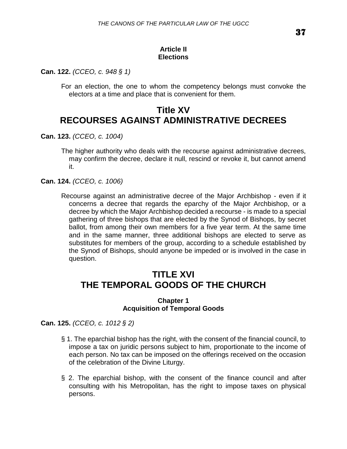## **Article II Elections**

**Can. 122.** *(CCEO, c. 948 § 1)*

For an election, the one to whom the competency belongs must convoke the electors at a time and place that is convenient for them.

# **Title XV RECOURSES AGAINST ADMINISTRATIVE DECREES**

**Can. 123.** *(CCEO, c. 1004)*

The higher authority who deals with the recourse against administrative decrees, may confirm the decree, declare it null, rescind or revoke it, but cannot amend it.

**Can. 124.** *(CCEO, c. 1006)*

Recourse against an administrative decree of the Major Archbishop - even if it concerns a decree that regards the eparchy of the Major Archbishop, or a decree by which the Major Archbishop decided a recourse - is made to a special gathering of three bishops that are elected by the Synod of Bishops, by secret ballot, from among their own members for a five year term. At the same time and in the same manner, three additional bishops are elected to serve as substitutes for members of the group, according to a schedule established by the Synod of Bishops, should anyone be impeded or is involved in the case in question.

# **TITLE XVI THE TEMPORAL GOODS OF THE CHURCH**

#### **Chapter 1 Acquisition of Temporal Goods**

**Can. 125.** *(CCEO, c. 1012 § 2)*

- § 1. The eparchial bishop has the right, with the consent of the financial council, to impose a tax on juridic persons subject to him, proportionate to the income of each person. No tax can be imposed on the offerings received on the occasion of the celebration of the Divine Liturgy.
- § 2. The eparchial bishop, with the consent of the finance council and after consulting with his Metropolitan, has the right to impose taxes on physical persons.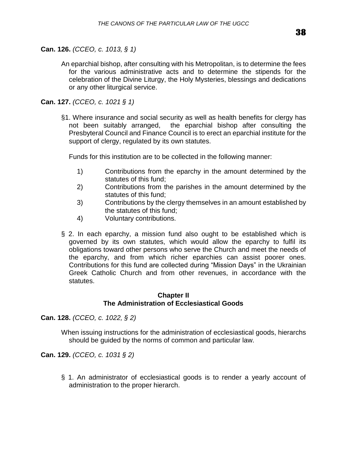### **Can. 126.** *(CCEO, c. 1013, § 1)*

An eparchial bishop, after consulting with his Metropolitan, is to determine the fees for the various administrative acts and to determine the stipends for the celebration of the Divine Liturgy, the Holy Mysteries, blessings and dedications or any other liturgical service.

## **Can. 127.** *(CCEO, c. 1021 § 1)*

§1. Where insurance and social security as well as health benefits for clergy has not been suitably arranged, the eparchial bishop after consulting the Presbyteral Council and Finance Council is to erect an eparchial institute for the support of clergy, regulated by its own statutes.

Funds for this institution are to be collected in the following manner:

- 1) Contributions from the eparchy in the amount determined by the statutes of this fund;
- 2) Contributions from the parishes in the amount determined by the statutes of this fund;
- 3) Contributions by the clergy themselves in an amount established by the statutes of this fund;
- 4) Voluntary contributions.
- § 2. In each eparchy, a mission fund also ought to be established which is governed by its own statutes, which would allow the eparchy to fulfil its obligations toward other persons who serve the Church and meet the needs of the eparchy, and from which richer eparchies can assist poorer ones. Contributions for this fund are collected during "Mission Days" in the Ukrainian Greek Catholic Church and from other revenues, in accordance with the statutes.

### **Chapter II The Administration of Ecclesiastical Goods**

**Can. 128.** *(CCEO, c. 1022, § 2)*

When issuing instructions for the administration of ecclesiastical goods, hierarchs should be guided by the norms of common and particular law.

**Can. 129.** *(CCEO, c. 1031 § 2)*

§ 1. An administrator of ecclesiastical goods is to render a yearly account of administration to the proper hierarch.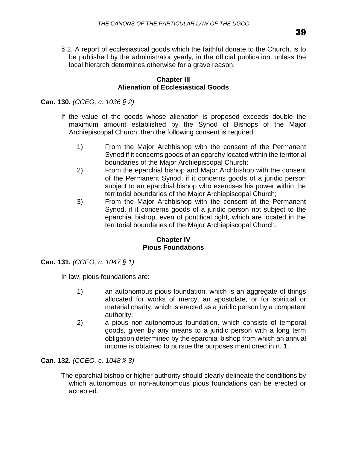§ 2. A report of ecclesiastical goods which the faithful donate to the Church, is to be published by the administrator yearly, in the official publication, unless the local hierarch determines otherwise for a grave reason.

### **Chapter III Alienation of Ecclesiastical Goods**

**Can. 130.** *(CCEO, c. 1036 § 2)*

- If the value of the goods whose alienation is proposed exceeds double the maximum amount established by the Synod of Bishops of the Major Archiepiscopal Church, then the following consent is required:
	- 1) From the Major Archbishop with the consent of the Permanent Synod if it concerns goods of an eparchy located within the territorial boundaries of the Major Archiepiscopal Church;
	- 2) From the eparchial bishop and Major Archbishop with the consent of the Permanent Synod, if it concerns goods of a juridic person subject to an eparchial bishop who exercises his power within the territorial boundaries of the Major Archiepiscopal Church;
	- 3) From the Major Archbishop with the consent of the Permanent Synod, if it concerns goods of a juridic person not subject to the eparchial bishop, even of pontifical right, which are located in the territorial boundaries of the Major Archiepiscopal Church.

### **Chapter IV Pious Foundations**

**Can. 131.** *(CCEO, c. 1047 § 1)*

In law, pious foundations are:

- 1) an autonomous pious foundation, which is an aggregate of things allocated for works of mercy, an apostolate, or for spiritual or material charity, which is erected as a juridic person by a competent authority;
- 2) a pious non-autonomous foundation, which consists of temporal goods, given by any means to a juridic person with a long term obligation determined by the eparchial bishop from which an annual income is obtained to pursue the purposes mentioned in n. 1.

**Can. 132.** *(CCEO, c. 1048 § 3)*

The eparchial bishop or higher authority should clearly delineate the conditions by which autonomous or non-autonomous pious foundations can be erected or accepted.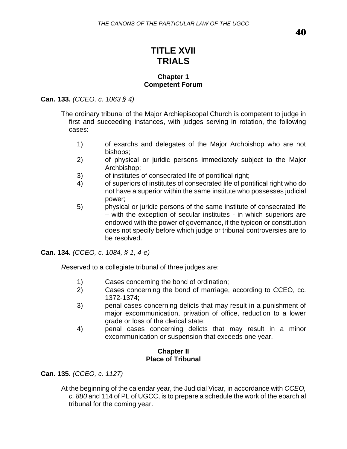# **TITLE XVII TRIALS**

### **Chapter 1 Competent Forum**

## **Can. 133.** *(CCEO, c. 1063 § 4)*

The ordinary tribunal of the Major Archiepiscopal Church is competent to judge in first and succeeding instances, with judges serving in rotation, the following cases:

- 1) of exarchs and delegates of the Major Archbishop who are not bishops;
- 2) of physical or juridic persons immediately subject to the Major Archbishop;
- 3) of institutes of consecrated life of pontifical right;
- 4) of superiors of institutes of consecrated life of pontifical right who do not have a superior within the same institute who possesses judicial power;
- 5) physical or juridic persons of the same institute of consecrated life – with the exception of secular institutes - in which superiors are endowed with the power of governance, if the typicon or constitution does not specify before which judge or tribunal controversies are to be resolved.

**Can. 134.** *(CCEO, c. 1084, § 1, 4-e)*

*R*eserved to a collegiate tribunal of three judges are:

- 1) Cases concerning the bond of ordination;
- 2) Cases concerning the bond of marriage, according to CCEO, cc. 1372-1374;
- 3) penal cases concerning delicts that may result in a punishment of major excommunication, privation of office, reduction to a lower grade or loss of the clerical state;
- 4) penal cases concerning delicts that may result in a minor excommunication or suspension that exceeds one year.

### **Chapter II Place of Tribunal**

**Can. 135.** *(CCEO, c. 1127)*

At the beginning of the calendar year, the Judicial Vicar, in accordance with *CCEO, c. 880* and 114 of PL of UGCC, is to prepare a schedule the work of the eparchial tribunal for the coming year.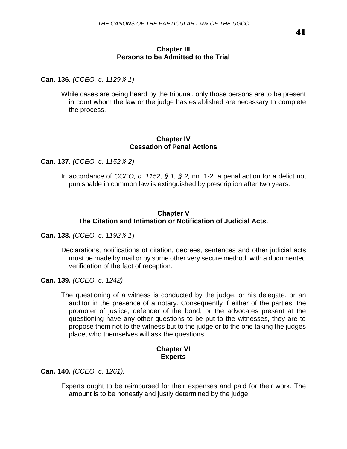### **Chapter III Persons to be Admitted to the Trial**

**Can. 136.** *(CCEO, c. 1129 § 1)*

While cases are being heard by the tribunal, only those persons are to be present in court whom the law or the judge has established are necessary to complete the process.

#### **Chapter IV Cessation of Penal Actions**

**Can. 137.** *(CCEO, c. 1152 § 2)*

In accordance of *CCEO, c. 1152, § 1, § 2,* nn. 1-2*,* a penal action for a delict not punishable in common law is extinguished by prescription after two years.

### **Chapter V The Citation and Intimation or Notification of Judicial Acts.**

**Can. 138.** *(CCEO, c. 1192 § 1*)

Declarations, notifications of citation, decrees, sentences and other judicial acts must be made by mail or by some other very secure method, with a documented verification of the fact of reception.

**Can. 139.** *(CCEO, c. 1242)*

The questioning of a witness is conducted by the judge, or his delegate, or an auditor in the presence of a notary. Consequently if either of the parties, the promoter of justice, defender of the bond, or the advocates present at the questioning have any other questions to be put to the witnesses, they are to propose them not to the witness but to the judge or to the one taking the judges place, who themselves will ask the questions.

### **Chapter VI Experts**

**Can. 140.** *(CCEO, c. 1261),*

Experts ought to be reimbursed for their expenses and paid for their work. The amount is to be honestly and justly determined by the judge.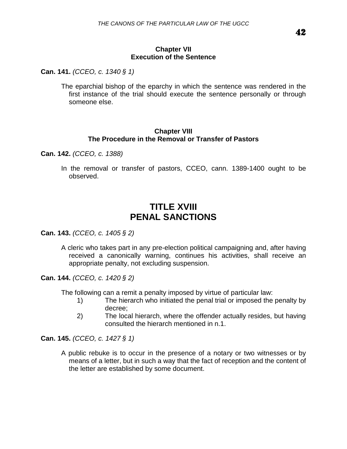### **Chapter VII Execution of the Sentence**

**Can. 141.** *(CCEO, c. 1340 § 1)*

The eparchial bishop of the eparchy in which the sentence was rendered in the first instance of the trial should execute the sentence personally or through someone else.

### **Chapter VIII The Procedure in the Removal or Transfer of Pastors**

**Can. 142.** *(CCEO, c. 1388)*

In the removal or transfer of pastors, CCEO, cann. 1389-1400 ought to be observed.

## **TITLE XVIII PENAL SANCTIONS**

**Can. 143.** *(CCEO, c. 1405 § 2)*

A cleric who takes part in any pre-election political campaigning and, after having received a canonically warning, continues his activities, shall receive an appropriate penalty, not excluding suspension.

**Can. 144.** *(CCEO, c. 1420 § 2)*

The following can a remit a penalty imposed by virtue of particular law:

- 1) The hierarch who initiated the penal trial or imposed the penalty by decree;
- 2) The local hierarch, where the offender actually resides, but having consulted the hierarch mentioned in n.1.

**Can. 145.** *(CCEO, c. 1427 § 1)*

A public rebuke is to occur in the presence of a notary or two witnesses or by means of a letter, but in such a way that the fact of reception and the content of the letter are established by some document.